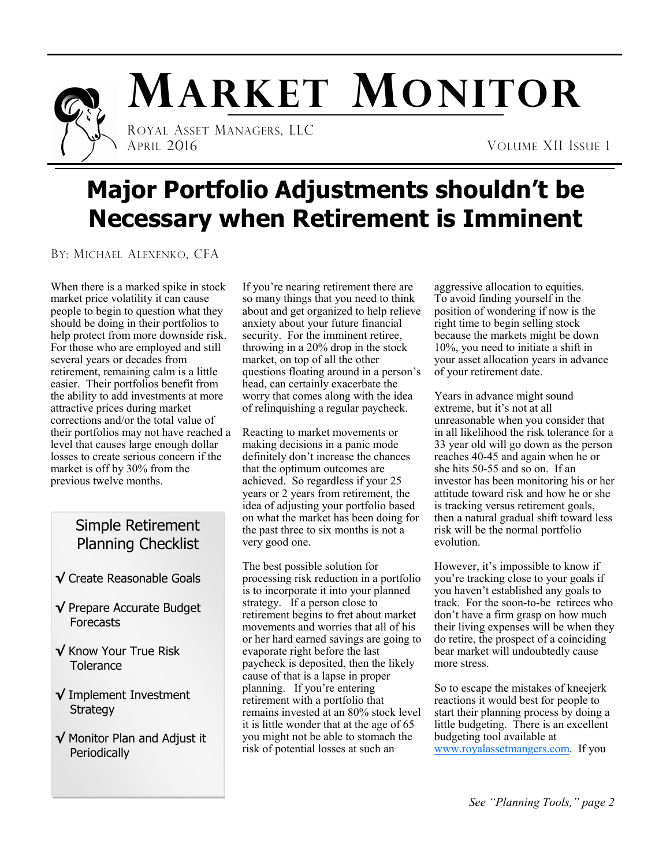

# **MARKET MONITOR**

 ROYAL ASSET MANAGERS, LLC APRIL 2016 VOLUME XII ISSUE 1

# **Major Portfolio Adjustments shouldn't be Necessary when Retirement is Imminent**

BY: MICHAEL ALEXENKO, CFA

When there is a marked spike in stock market price volatility it can cause people to begin to question what they should be doing in their portfolios to help protect from more downside risk. For those who are employed and still several years or decades from retirement, remaining calm is a little easier. Their portfolios benefit from the ability to add investments at more attractive prices during market corrections and/or the total value of their portfolios may not have reached a level that causes large enough dollar losses to create serious concern if the market is off by 30% from the previous twelve months.

### Simple Retirement Planning Checklist

- **√** Create Reasonable Goals
- **√** Prepare Accurate Budget **Forecasts**
- **√** Know Your True Risk **Tolerance**
- **√** Implement Investment **Strategy**
- **√** Monitor Plan and Adjust it **Periodically**

If you're nearing retirement there are so many things that you need to think about and get organized to help relieve anxiety about your future financial security. For the imminent retiree, throwing in a 20% drop in the stock market, on top of all the other questions floating around in a person's head, can certainly exacerbate the worry that comes along with the idea of relinquishing a regular paycheck.

Reacting to market movements or making decisions in a panic mode definitely don't increase the chances that the optimum outcomes are achieved. So regardless if your 25 years or 2 years from retirement, the idea of adjusting your portfolio based on what the market has been doing for the past three to six months is not a very good one.

The best possible solution for processing risk reduction in a portfolio is to incorporate it into your planned strategy. If a person close to retirement begins to fret about market movements and worries that all of his or her hard earned savings are going to evaporate right before the last paycheck is deposited, then the likely cause of that is a lapse in proper planning. If you're entering retirement with a portfolio that remains invested at an 80% stock level it is little wonder that at the age of 65 you might not be able to stomach the risk of potential losses at such an

aggressive allocation to equities. To avoid finding yourself in the position of wondering if now is the right time to begin selling stock because the markets might be down 10%, you need to initiate a shift in your asset allocation years in advance of your retirement date.

Years in advance might sound extreme, but it's not at all unreasonable when you consider that in all likelihood the risk tolerance for a 33 year old will go down as the person reaches 40-45 and again when he or she hits 50-55 and so on. If an investor has been monitoring his or her attitude toward risk and how he or she is tracking versus retirement goals, then a natural gradual shift toward less risk will be the normal portfolio evolution.

However, it's impossible to know if you're tracking close to your goals if you haven't established any goals to track. For the soon-to-be retirees who don't have a firm grasp on how much their living expenses will be when they do retire, the prospect of a coinciding bear market will undoubtedly cause more stress.

So to escape the mistakes of kneejerk reactions it would best for people to start their planning process by doing a little budgeting. There is an excellent budgeting tool available at [www.royalassetmangers.com.](http://www.royalassetmangers.com) If you